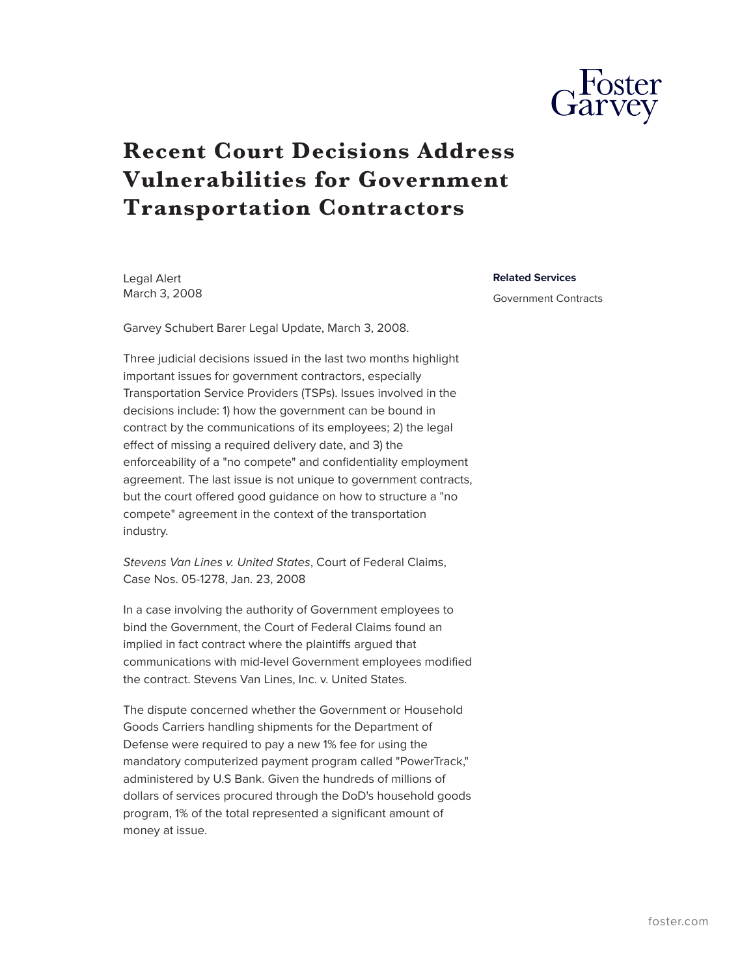

## **Recent Court Decisions Address Vulnerabilities for Government Transportation Contractors**

Legal Alert March 3, 2008

Garvey Schubert Barer Legal Update, March 3, 2008.

Three judicial decisions issued in the last two months highlight important issues for government contractors, especially Transportation Service Providers (TSPs). Issues involved in the decisions include: 1) how the government can be bound in contract by the communications of its employees; 2) the legal effect of missing a required delivery date, and 3) the enforceability of a "no compete" and confidentiality employment agreement. The last issue is not unique to government contracts, but the court offered good guidance on how to structure a "no compete" agreement in the context of the transportation industry.

*Stevens Van Lines v. United States*, Court of Federal Claims, Case Nos. 05-1278, Jan. 23, 2008

In a case involving the authority of Government employees to bind the Government, the Court of Federal Claims found an implied in fact contract where the plaintiffs argued that communications with mid-level Government employees modified the contract. Stevens Van Lines, Inc. v. United States.

The dispute concerned whether the Government or Household Goods Carriers handling shipments for the Department of Defense were required to pay a new 1% fee for using the mandatory computerized payment program called "PowerTrack," administered by U.S Bank. Given the hundreds of millions of dollars of services procured through the DoD's household goods program, 1% of the total represented a significant amount of money at issue.

**Related Services**

Government Contracts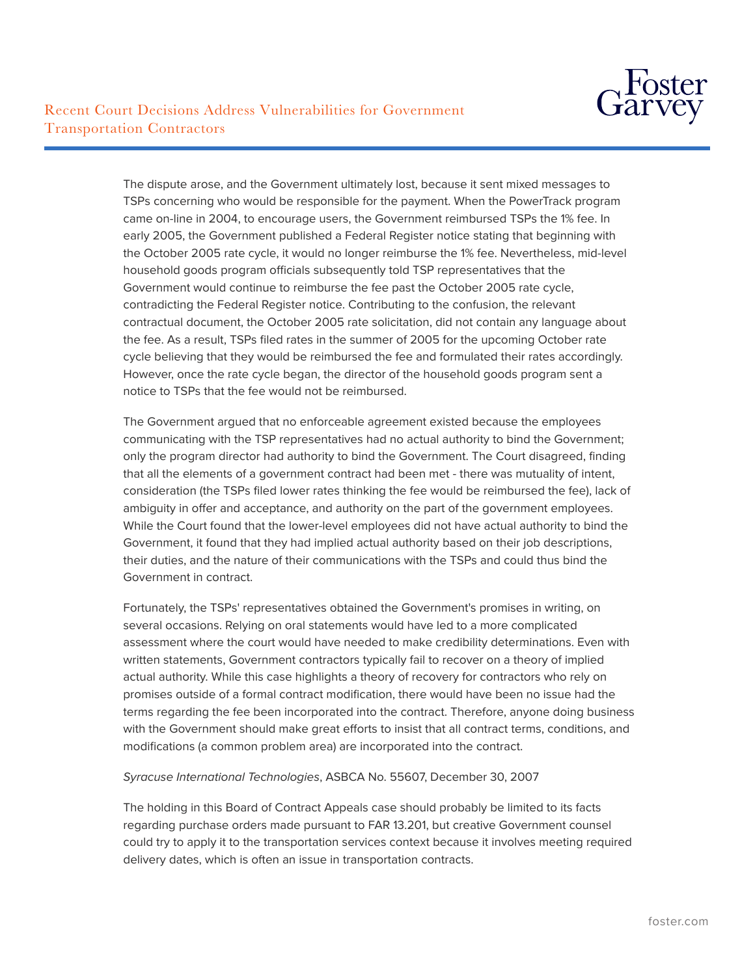

The dispute arose, and the Government ultimately lost, because it sent mixed messages to TSPs concerning who would be responsible for the payment. When the PowerTrack program came on-line in 2004, to encourage users, the Government reimbursed TSPs the 1% fee. In early 2005, the Government published a Federal Register notice stating that beginning with the October 2005 rate cycle, it would no longer reimburse the 1% fee. Nevertheless, mid-level household goods program officials subsequently told TSP representatives that the Government would continue to reimburse the fee past the October 2005 rate cycle, contradicting the Federal Register notice. Contributing to the confusion, the relevant contractual document, the October 2005 rate solicitation, did not contain any language about the fee. As a result, TSPs filed rates in the summer of 2005 for the upcoming October rate cycle believing that they would be reimbursed the fee and formulated their rates accordingly. However, once the rate cycle began, the director of the household goods program sent a notice to TSPs that the fee would not be reimbursed.

The Government argued that no enforceable agreement existed because the employees communicating with the TSP representatives had no actual authority to bind the Government; only the program director had authority to bind the Government. The Court disagreed, finding that all the elements of a government contract had been met - there was mutuality of intent, consideration (the TSPs filed lower rates thinking the fee would be reimbursed the fee), lack of ambiguity in offer and acceptance, and authority on the part of the government employees. While the Court found that the lower-level employees did not have actual authority to bind the Government, it found that they had implied actual authority based on their job descriptions, their duties, and the nature of their communications with the TSPs and could thus bind the Government in contract.

Fortunately, the TSPs' representatives obtained the Government's promises in writing, on several occasions. Relying on oral statements would have led to a more complicated assessment where the court would have needed to make credibility determinations. Even with written statements, Government contractors typically fail to recover on a theory of implied actual authority. While this case highlights a theory of recovery for contractors who rely on promises outside of a formal contract modification, there would have been no issue had the terms regarding the fee been incorporated into the contract. Therefore, anyone doing business with the Government should make great efforts to insist that all contract terms, conditions, and modifications (a common problem area) are incorporated into the contract.

## *Syracuse International Technologies*, ASBCA No. 55607, December 30, 2007

The holding in this Board of Contract Appeals case should probably be limited to its facts regarding purchase orders made pursuant to FAR 13.201, but creative Government counsel could try to apply it to the transportation services context because it involves meeting required delivery dates, which is often an issue in transportation contracts.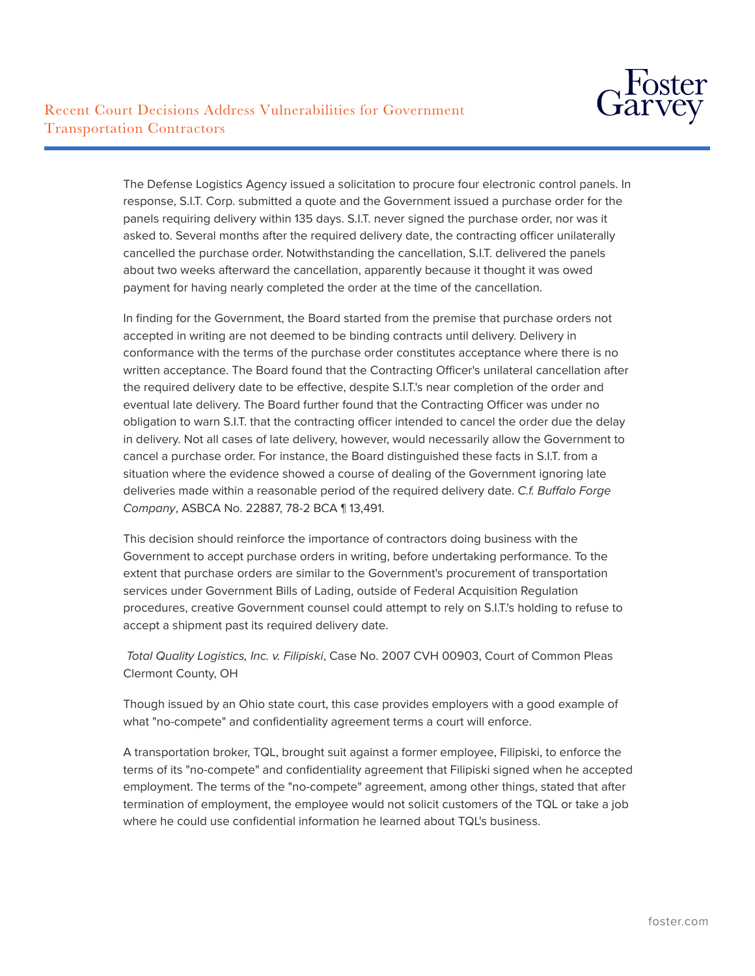The Defense Logistics Agency issued a solicitation to procure four electronic control panels. In response, S.I.T. Corp. submitted a quote and the Government issued a purchase order for the panels requiring delivery within 135 days. S.I.T. never signed the purchase order, nor was it asked to. Several months after the required delivery date, the contracting officer unilaterally cancelled the purchase order. Notwithstanding the cancellation, S.I.T. delivered the panels about two weeks afterward the cancellation, apparently because it thought it was owed payment for having nearly completed the order at the time of the cancellation.

In finding for the Government, the Board started from the premise that purchase orders not accepted in writing are not deemed to be binding contracts until delivery. Delivery in conformance with the terms of the purchase order constitutes acceptance where there is no written acceptance. The Board found that the Contracting Officer's unilateral cancellation after the required delivery date to be effective, despite S.I.T.'s near completion of the order and eventual late delivery. The Board further found that the Contracting Officer was under no obligation to warn S.I.T. that the contracting officer intended to cancel the order due the delay in delivery. Not all cases of late delivery, however, would necessarily allow the Government to cancel a purchase order. For instance, the Board distinguished these facts in S.I.T. from a situation where the evidence showed a course of dealing of the Government ignoring late deliveries made within a reasonable period of the required delivery date. *C.f. Buffalo Forge Company*, ASBCA No. 22887, 78-2 BCA ¶ 13,491.

This decision should reinforce the importance of contractors doing business with the Government to accept purchase orders in writing, before undertaking performance. To the extent that purchase orders are similar to the Government's procurement of transportation services under Government Bills of Lading, outside of Federal Acquisition Regulation procedures, creative Government counsel could attempt to rely on S.I.T.'s holding to refuse to accept a shipment past its required delivery date.

 *Total Quality Logistics, Inc. v. Filipiski*, Case No. 2007 CVH 00903, Court of Common Pleas Clermont County, OH

Though issued by an Ohio state court, this case provides employers with a good example of what "no-compete" and confidentiality agreement terms a court will enforce.

A transportation broker, TQL, brought suit against a former employee, Filipiski, to enforce the terms of its "no-compete" and confidentiality agreement that Filipiski signed when he accepted employment. The terms of the "no-compete" agreement, among other things, stated that after termination of employment, the employee would not solicit customers of the TQL or take a job where he could use confidential information he learned about TQL's business.